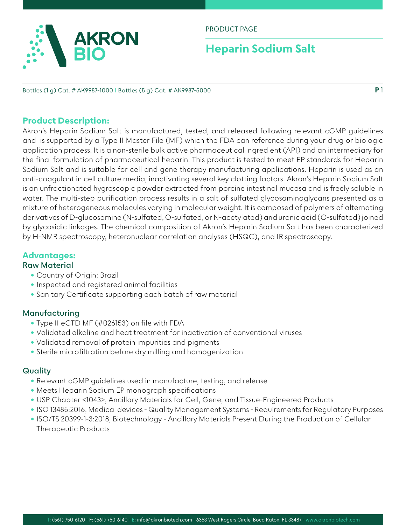

#### PRODUCT PAGE

# **Heparin Sodium Salt**

#### Bottles (1 g) Cat. # AK9987-1000 I Bottles (5 g) Cat. # AK9987-5000

### **Product Description:**

Akron's Heparin Sodium Salt is manufactured, tested, and released following relevant cGMP guidelines and is supported by a Type II Master File (MF) which the FDA can reference during your drug or biologic application process. It is a non-sterile bulk active pharmaceutical ingredient (API) and an intermediary for the final formulation of pharmaceutical heparin. This product is tested to meet EP standards for Heparin Sodium Salt and is suitable for cell and gene therapy manufacturing applications. Heparin is used as an anti-coagulant in cell culture media, inactivating several key clotting factors. Akron's Heparin Sodium Salt is an unfractionated hygroscopic powder extracted from porcine intestinal mucosa and is freely soluble in water. The multi-step purification process results in a salt of sulfated glycosaminoglycans presented as a mixture of heterogeneous molecules varying in molecular weight. It is composed of polymers of alternating derivatives of D-glucosamine (N-sulfated, O-sulfated, or N-acetylated) and uronic acid (O-sulfated) joined by glycosidic linkages. The chemical composition of Akron's Heparin Sodium Salt has been characterized by H-NMR spectroscopy, heteronuclear correlation analyses (HSQC), and IR spectroscopy.

#### **Advantages:**

#### **Raw Material**

- Country of Origin: Brazil
- Inspected and registered animal facilities
- Sanitary Certificate supporting each batch of raw material

#### **Manufacturing**

- Type II eCTD MF (#026153) on file with FDA
- Validated alkaline and heat treatment for inactivation of conventional viruses
- Validated removal of protein impurities and pigments
- Sterile microfiltration before dry milling and homogenization

#### **Quality**

- Relevant cGMP guidelines used in manufacture, testing, and release
- Meets Heparin Sodium EP monograph specifications
- USP Chapter <1043>, Ancillary Materials for Cell, Gene, and Tissue-Engineered Products
- ISO 13485:2016, Medical devices Quality Management Systems Requirements for Regulatory Purposes
- ISO/TS 20399-1-3:2018, Biotechnology Ancillary Materials Present During the Production of Cellular Therapeutic Products

**P** 1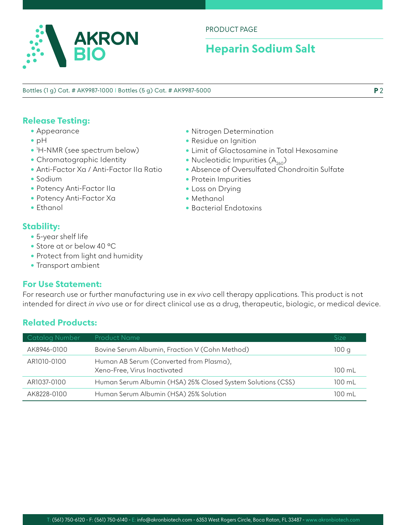

### PRODUCT PAGE

# **Heparin Sodium Salt**

Bottles (1 g) Cat. # AK9987-1000 I Bottles (5 g) Cat. # AK9987-5000

# **Release Testing:**

- Appearance
- pH
- 1 H-NMR (see spectrum below)
- Chromatographic Identity
- Anti-Factor Xa / Anti-Factor IIa Ratio
- Sodium
- Potency Anti-Factor IIa
- Potency Anti-Factor Xa
- Ethanol

## **Stability:**

- 5-year shelf life
- Store at or below 40 °C
- Protect from light and humidity
- Transport ambient

#### **For Use Statement:**

For research use or further manufacturing use in *ex vivo* cell therapy applications. This product is not intended for direct *in vivo* use or for direct clinical use as a drug, therapeutic, biologic, or medical device.

### **Related Products:**

| <b>Catalog Number</b> | <b>Product Name</b>                                                     | Size             |
|-----------------------|-------------------------------------------------------------------------|------------------|
| AK8946-0100           | Bovine Serum Albumin, Fraction V (Cohn Method)                          | 100 g            |
| AR1010-0100           | Human AB Serum (Converted from Plasma),<br>Xeno-Free, Virus Inactivated | $100 \text{ ml}$ |
| AR1037-0100           | Human Serum Albumin (HSA) 25% Closed System Solutions (CSS)             | 100 mL           |
| AK8228-0100           | Human Serum Albumin (HSA) 25% Solution                                  | $100 \text{ ml}$ |

- Nitrogen Determination
- Residue on Ignition
- Limit of Glactosamine in Total Hexosamine
- Nucleotidic Impurities  $(A_{260})$
- Absence of Oversulfated Chondroitin Sulfate
- Protein Impurities
- Loss on Drying
- Methanol
- Bacterial Endotoxins